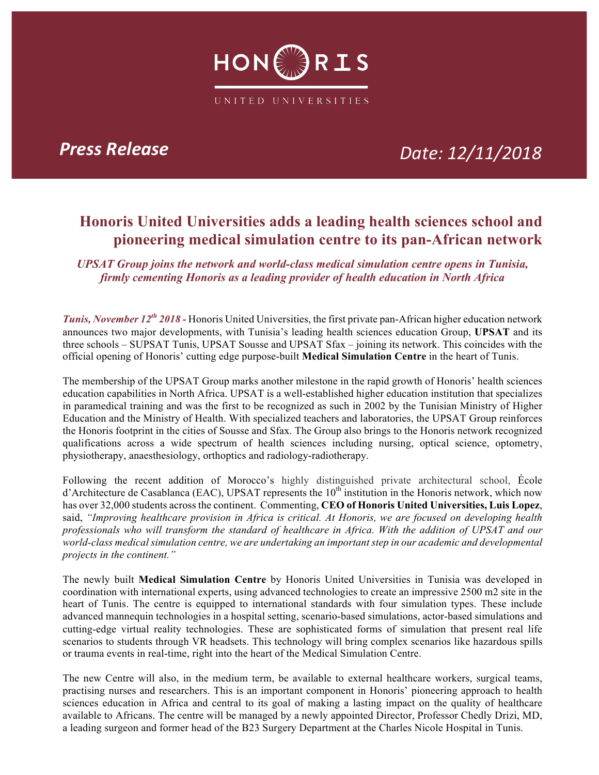

## *Press Release Date: 12/11/2018*

## **Honoris United Universities adds a leading health sciences school and pioneering medical simulation centre to its pan-African network**

*UPSAT Group joins the network and world-class medical simulation centre opens in Tunisia, firmly cementing Honoris as a leading provider of health education in North Africa* 

*Tunis, November 12th 2018 -* Honoris United Universities, the first private pan-African higher education network announces two major developments, with Tunisia's leading health sciences education Group, **UPSAT** and its three schools – SUPSAT Tunis, UPSAT Sousse and UPSAT Sfax – joining its network. This coincides with the official opening of Honoris' cutting edge purpose-built **Medical Simulation Centre** in the heart of Tunis.

The membership of the UPSAT Group marks another milestone in the rapid growth of Honoris' health sciences education capabilities in North Africa. UPSAT is a well-established higher education institution that specializes in paramedical training and was the first to be recognized as such in 2002 by the Tunisian Ministry of Higher Education and the Ministry of Health. With specialized teachers and laboratories, the UPSAT Group reinforces the Honoris footprint in the cities of Sousse and Sfax. The Group also brings to the Honoris network recognized qualifications across a wide spectrum of health sciences including nursing, optical science, optometry, physiotherapy, anaesthesiology, orthoptics and radiology-radiotherapy.

Following the recent addition of Morocco's highly distinguished private architectural school, École d'Architecture de Casablanca (EAC), UPSAT represents the  $10<sup>th</sup>$  institution in the Honoris network, which now has over 32,000 students across the continent. Commenting, **CEO of Honoris United Universities, Luis Lopez**, said, *"Improving healthcare provision in Africa is critical. At Honoris, we are focused on developing health professionals who will transform the standard of healthcare in Africa. With the addition of UPSAT and our world-class medical simulation centre, we are undertaking an important step in our academic and developmental projects in the continent."*

The newly built **Medical Simulation Centre** by Honoris United Universities in Tunisia was developed in coordination with international experts, using advanced technologies to create an impressive 2500 m2 site in the heart of Tunis. The centre is equipped to international standards with four simulation types. These include advanced mannequin technologies in a hospital setting, scenario-based simulations, actor-based simulations and cutting-edge virtual reality technologies. These are sophisticated forms of simulation that present real life scenarios to students through VR headsets. This technology will bring complex scenarios like hazardous spills or trauma events in real-time, right into the heart of the Medical Simulation Centre.

The new Centre will also, in the medium term, be available to external healthcare workers, surgical teams, practising nurses and researchers. This is an important component in Honoris' pioneering approach to health sciences education in Africa and central to its goal of making a lasting impact on the quality of healthcare available to Africans. The centre will be managed by a newly appointed Director, Professor Chedly Drizi, MD, a leading surgeon and former head of the B23 Surgery Department at the Charles Nicole Hospital in Tunis.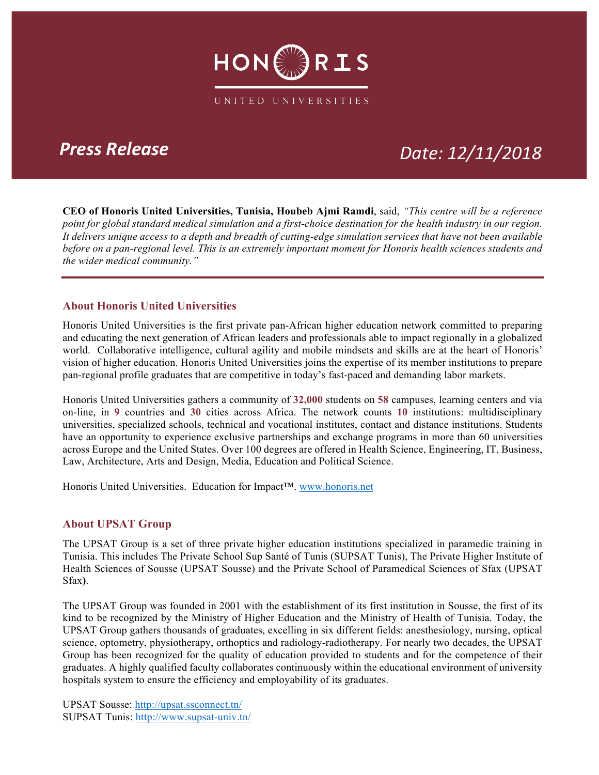

## *Press Release Date: 12/11/2018*

**CEO of Honoris United Universities, Tunisia, Houbeb Ajmi Ramdi**, said, *"This centre will be a reference point for global standard medical simulation and a first-choice destination for the health industry in our region. It delivers unique access to a depth and breadth of cutting-edge simulation services that have not been available before on a pan-regional level. This is an extremely important moment for Honoris health sciences students and the wider medical community."*

### **About Honoris United Universities**

Honoris United Universities is the first private pan-African higher education network committed to preparing and educating the next generation of African leaders and professionals able to impact regionally in a globalized world. Collaborative intelligence, cultural agility and mobile mindsets and skills are at the heart of Honoris' vision of higher education. Honoris United Universities joins the expertise of its member institutions to prepare pan-regional profile graduates that are competitive in today's fast-paced and demanding labor markets.

Honoris United Universities gathers a community of **32,000** students on **58** campuses, learning centers and via on-line, in **9** countries and **30** cities across Africa. The network counts **10** institutions: multidisciplinary universities, specialized schools, technical and vocational institutes, contact and distance institutions. Students have an opportunity to experience exclusive partnerships and exchange programs in more than 60 universities across Europe and the United States. Over 100 degrees are offered in Health Science, Engineering, IT, Business, Law, Architecture, Arts and Design, Media, Education and Political Science.

Honoris United Universities. Education for Impact™. www.honoris.net

### **About UPSAT Group**

The UPSAT Group is a set of three private higher education institutions specialized in paramedic training in Tunisia. This includes The Private School Sup Santé of Tunis (SUPSAT Tunis), The Private Higher Institute of Health Sciences of Sousse (UPSAT Sousse) and the Private School of Paramedical Sciences of Sfax (UPSAT Sfax**)**.

The UPSAT Group was founded in 2001 with the establishment of its first institution in Sousse, the first of its kind to be recognized by the Ministry of Higher Education and the Ministry of Health of Tunisia. Today, the UPSAT Group gathers thousands of graduates, excelling in six different fields: anesthesiology, nursing, optical science, optometry, physiotherapy, orthoptics and radiology-radiotherapy. For nearly two decades, the UPSAT Group has been recognized for the quality of education provided to students and for the competence of their graduates. A highly qualified faculty collaborates continuously within the educational environment of university hospitals system to ensure the efficiency and employability of its graduates.

UPSAT Sousse: http://upsat.ssconnect.tn/ SUPSAT Tunis: http://www.supsat-univ.tn/